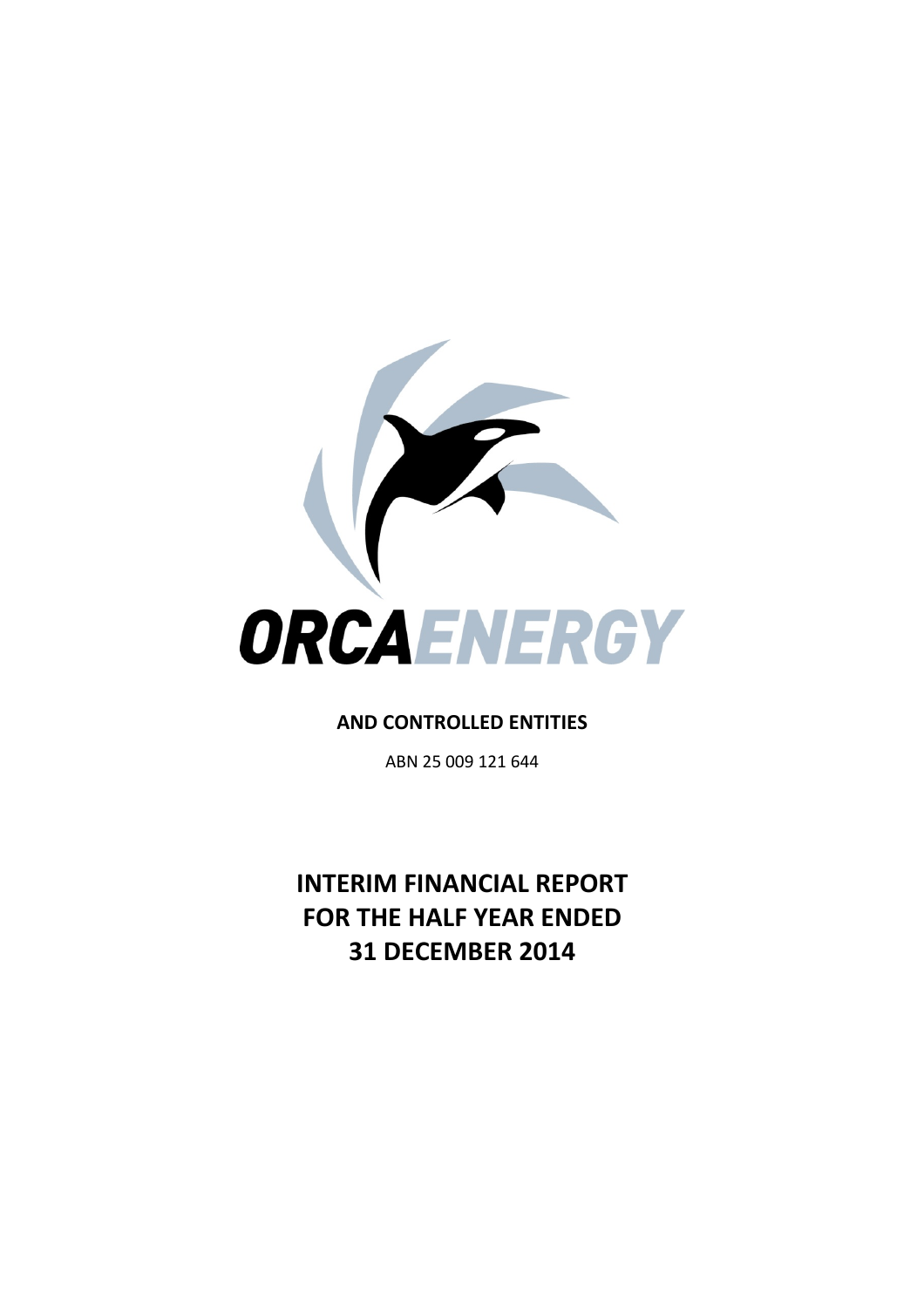

# **AND CONTROLLED ENTITIES**

ABN 25 009 121 644

**INTERIM FINANCIAL REPORT FOR THE HALF YEAR ENDED 31 DECEMBER 2014**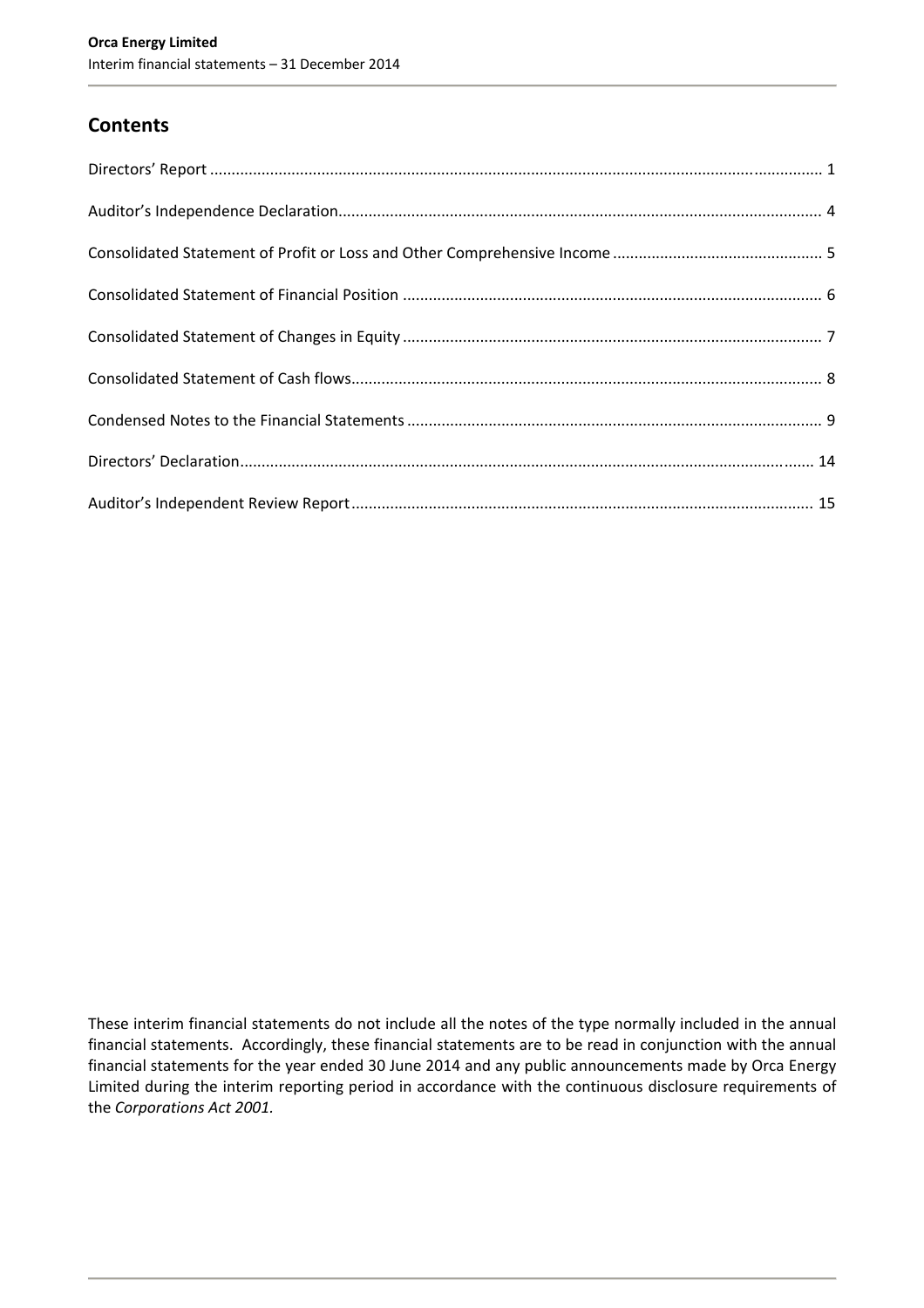# **Contents**

These interim financial statements do not include all the notes of the type normally included in the annual financial statements. Accordingly, these financial statements are to be read in conjunction with the annual financial statements for the year ended 30 June 2014 and any public announcements made by Orca Energy Limited during the interim reporting period in accordance with the continuous disclosure requirements of the *Corporations Act 2001.*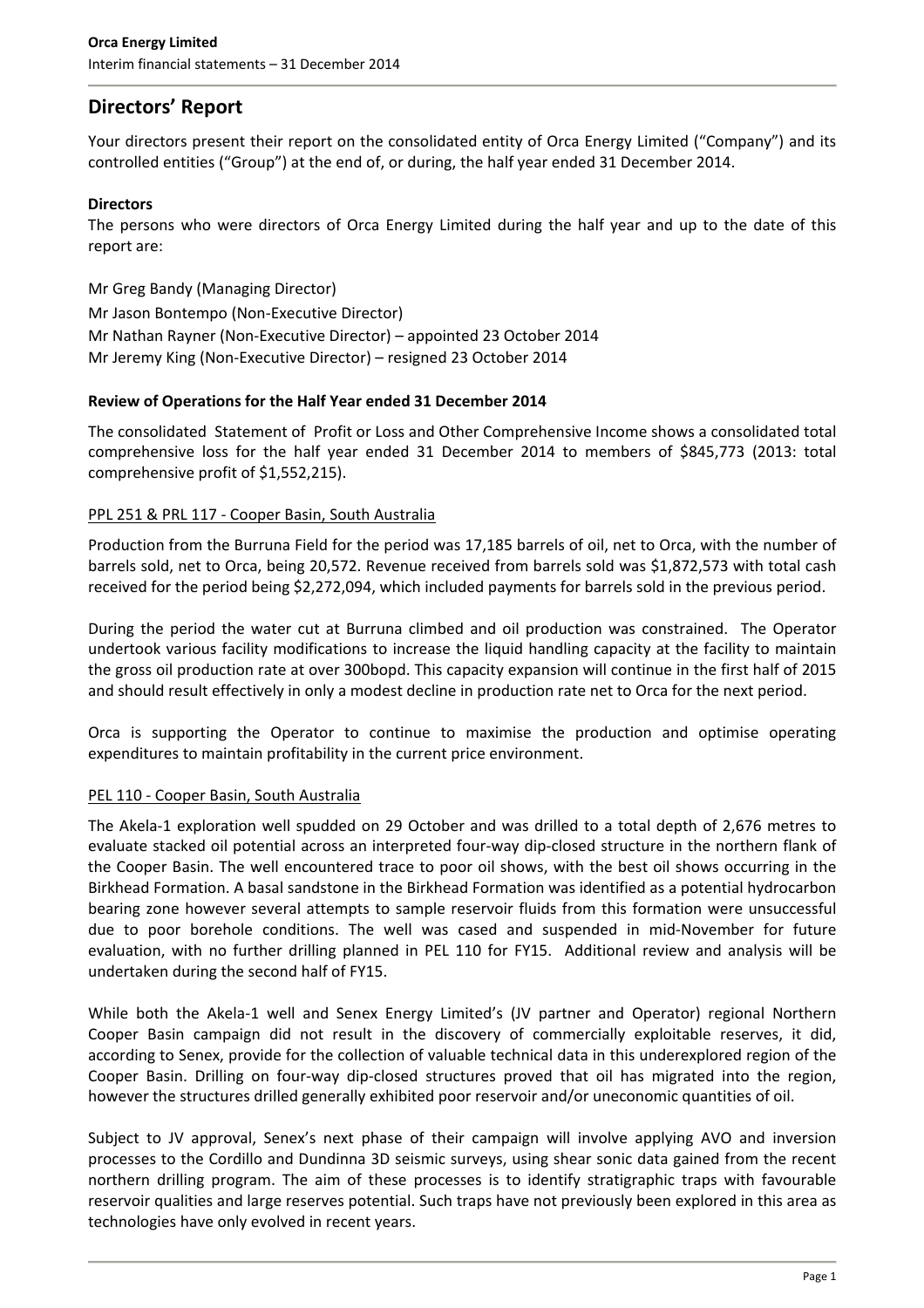# **Directors' Report**

Your directors present their report on the consolidated entity of Orca Energy Limited ("Company") and its controlled entities ("Group") at the end of, or during, the half year ended 31 December 2014.

# **Directors**

The persons who were directors of Orca Energy Limited during the half year and up to the date of this report are:

Mr Greg Bandy (Managing Director) Mr Jason Bontempo (Non‐Executive Director) Mr Nathan Rayner (Non‐Executive Director) – appointed 23 October 2014 Mr Jeremy King (Non‐Executive Director) – resigned 23 October 2014

# **Review of Operations for the Half Year ended 31 December 2014**

The consolidated Statement of Profit or Loss and Other Comprehensive Income shows a consolidated total comprehensive loss for the half year ended 31 December 2014 to members of \$845,773 (2013: total comprehensive profit of \$1,552,215).

# PPL 251 & PRL 117 ‐ Cooper Basin, South Australia

Production from the Burruna Field for the period was 17,185 barrels of oil, net to Orca, with the number of barrels sold, net to Orca, being 20,572. Revenue received from barrels sold was \$1,872,573 with total cash received for the period being \$2,272,094, which included payments for barrels sold in the previous period.

During the period the water cut at Burruna climbed and oil production was constrained. The Operator undertook various facility modifications to increase the liquid handling capacity at the facility to maintain the gross oil production rate at over 300bopd. This capacity expansion will continue in the first half of 2015 and should result effectively in only a modest decline in production rate net to Orca for the next period.

Orca is supporting the Operator to continue to maximise the production and optimise operating expenditures to maintain profitability in the current price environment.

# PEL 110 - Cooper Basin, South Australia

The Akela‐1 exploration well spudded on 29 October and was drilled to a total depth of 2,676 metres to evaluate stacked oil potential across an interpreted four‐way dip‐closed structure in the northern flank of the Cooper Basin. The well encountered trace to poor oil shows, with the best oil shows occurring in the Birkhead Formation. A basal sandstone in the Birkhead Formation was identified as a potential hydrocarbon bearing zone however several attempts to sample reservoir fluids from this formation were unsuccessful due to poor borehole conditions. The well was cased and suspended in mid‐November for future evaluation, with no further drilling planned in PEL 110 for FY15. Additional review and analysis will be undertaken during the second half of FY15.

While both the Akela-1 well and Senex Energy Limited's (JV partner and Operator) regional Northern Cooper Basin campaign did not result in the discovery of commercially exploitable reserves, it did, according to Senex, provide for the collection of valuable technical data in this underexplored region of the Cooper Basin. Drilling on four‐way dip‐closed structures proved that oil has migrated into the region, however the structures drilled generally exhibited poor reservoir and/or uneconomic quantities of oil.

Subject to JV approval, Senex's next phase of their campaign will involve applying AVO and inversion processes to the Cordillo and Dundinna 3D seismic surveys, using shear sonic data gained from the recent northern drilling program. The aim of these processes is to identify stratigraphic traps with favourable reservoir qualities and large reserves potential. Such traps have not previously been explored in this area as technologies have only evolved in recent years.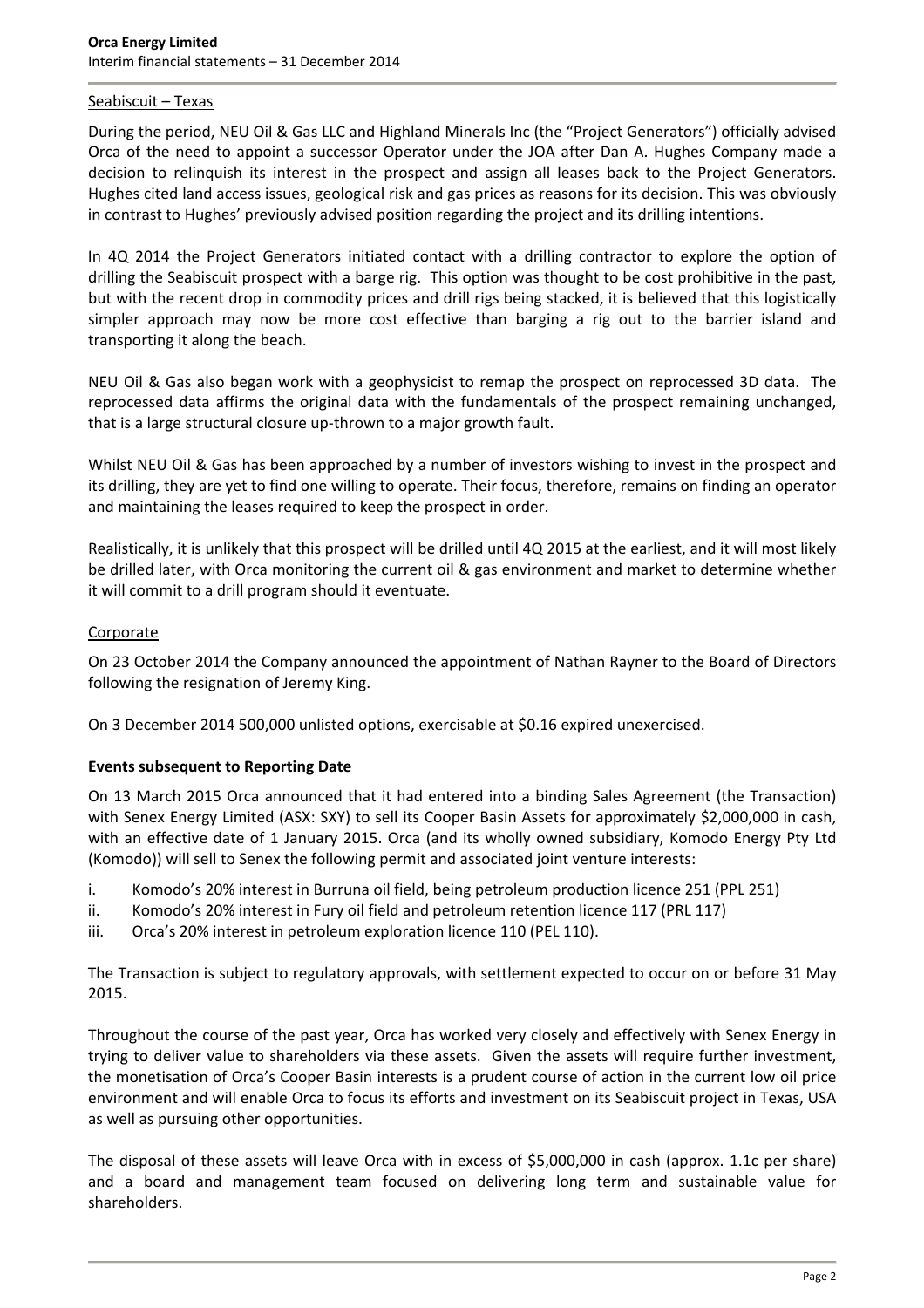# Seabiscuit – Texas

During the period, NEU Oil & Gas LLC and Highland Minerals Inc (the "Project Generators") officially advised Orca of the need to appoint a successor Operator under the JOA after Dan A. Hughes Company made a decision to relinquish its interest in the prospect and assign all leases back to the Project Generators. Hughes cited land access issues, geological risk and gas prices as reasons for its decision. This was obviously in contrast to Hughes' previously advised position regarding the project and its drilling intentions.

In 4Q 2014 the Project Generators initiated contact with a drilling contractor to explore the option of drilling the Seabiscuit prospect with a barge rig. This option was thought to be cost prohibitive in the past, but with the recent drop in commodity prices and drill rigs being stacked, it is believed that this logistically simpler approach may now be more cost effective than barging a rig out to the barrier island and transporting it along the beach.

NEU Oil & Gas also began work with a geophysicist to remap the prospect on reprocessed 3D data. The reprocessed data affirms the original data with the fundamentals of the prospect remaining unchanged, that is a large structural closure up‐thrown to a major growth fault.

Whilst NEU Oil & Gas has been approached by a number of investors wishing to invest in the prospect and its drilling, they are yet to find one willing to operate. Their focus, therefore, remains on finding an operator and maintaining the leases required to keep the prospect in order.

Realistically, it is unlikely that this prospect will be drilled until 4Q 2015 at the earliest, and it will most likely be drilled later, with Orca monitoring the current oil & gas environment and market to determine whether it will commit to a drill program should it eventuate.

### **Corporate**

On 23 October 2014 the Company announced the appointment of Nathan Rayner to the Board of Directors following the resignation of Jeremy King.

On 3 December 2014 500,000 unlisted options, exercisable at \$0.16 expired unexercised.

### **Events subsequent to Reporting Date**

On 13 March 2015 Orca announced that it had entered into a binding Sales Agreement (the Transaction) with Senex Energy Limited (ASX: SXY) to sell its Cooper Basin Assets for approximately \$2,000,000 in cash, with an effective date of 1 January 2015. Orca (and its wholly owned subsidiary, Komodo Energy Pty Ltd (Komodo)) will sell to Senex the following permit and associated joint venture interests:

- i. Komodo's 20% interest in Burruna oil field, being petroleum production licence 251 (PPL 251)
- ii. Komodo's 20% interest in Fury oil field and petroleum retention licence 117 (PRL 117)
- iii. Orca's 20% interest in petroleum exploration licence 110 (PEL 110).

The Transaction is subject to regulatory approvals, with settlement expected to occur on or before 31 May 2015.

Throughout the course of the past year, Orca has worked very closely and effectively with Senex Energy in trying to deliver value to shareholders via these assets. Given the assets will require further investment, the monetisation of Orca's Cooper Basin interests is a prudent course of action in the current low oil price environment and will enable Orca to focus its efforts and investment on its Seabiscuit project in Texas, USA as well as pursuing other opportunities.

The disposal of these assets will leave Orca with in excess of \$5,000,000 in cash (approx. 1.1c per share) and a board and management team focused on delivering long term and sustainable value for shareholders.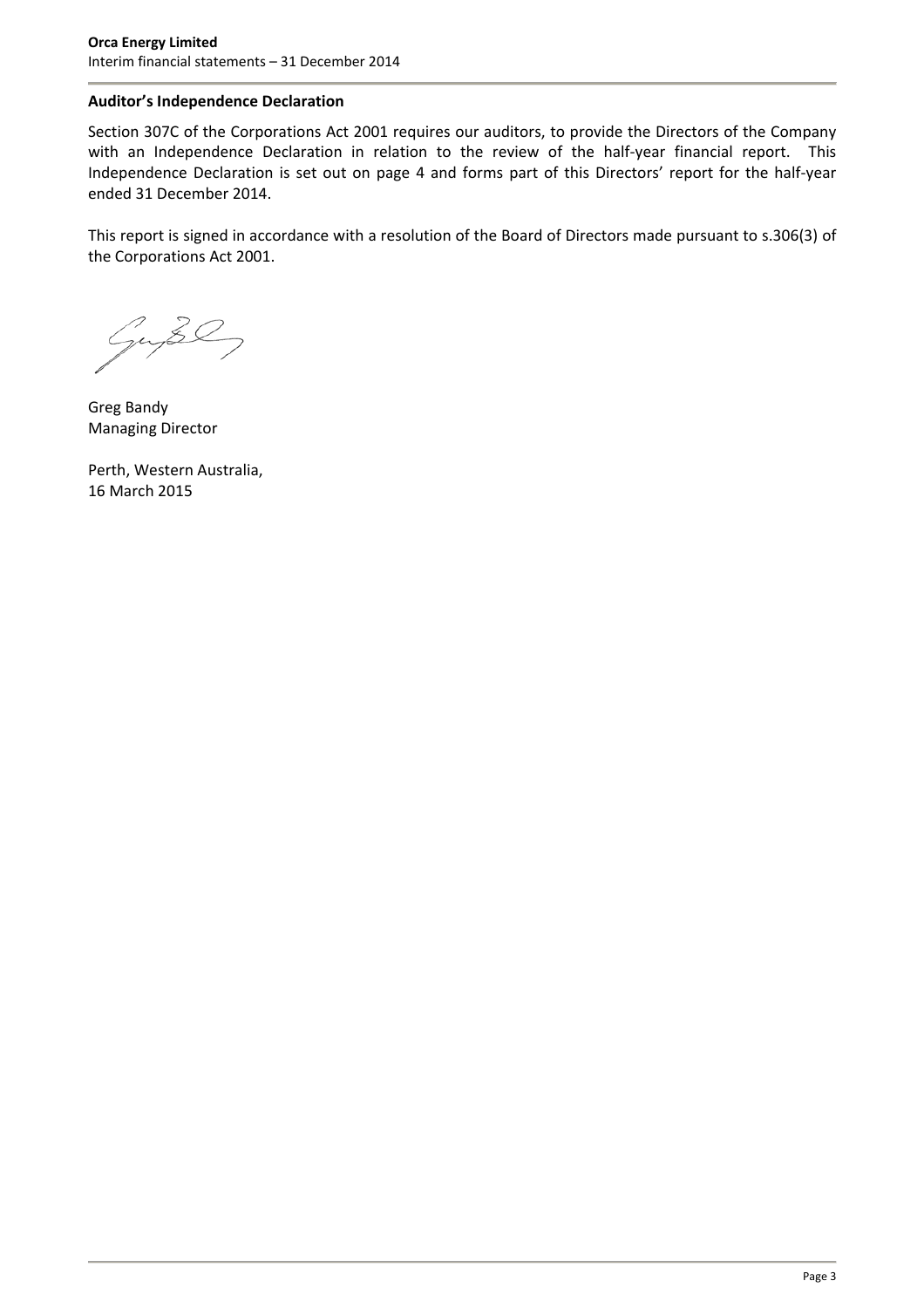# **Auditor's Independence Declaration**

Section 307C of the Corporations Act 2001 requires our auditors, to provide the Directors of the Company with an Independence Declaration in relation to the review of the half-year financial report. This Independence Declaration is set out on page 4 and forms part of this Directors' report for the half‐year ended 31 December 2014.

This report is signed in accordance with a resolution of the Board of Directors made pursuant to s.306(3) of the Corporations Act 2001.

Guse

Greg Bandy Managing Director

Perth, Western Australia, 16 March 2015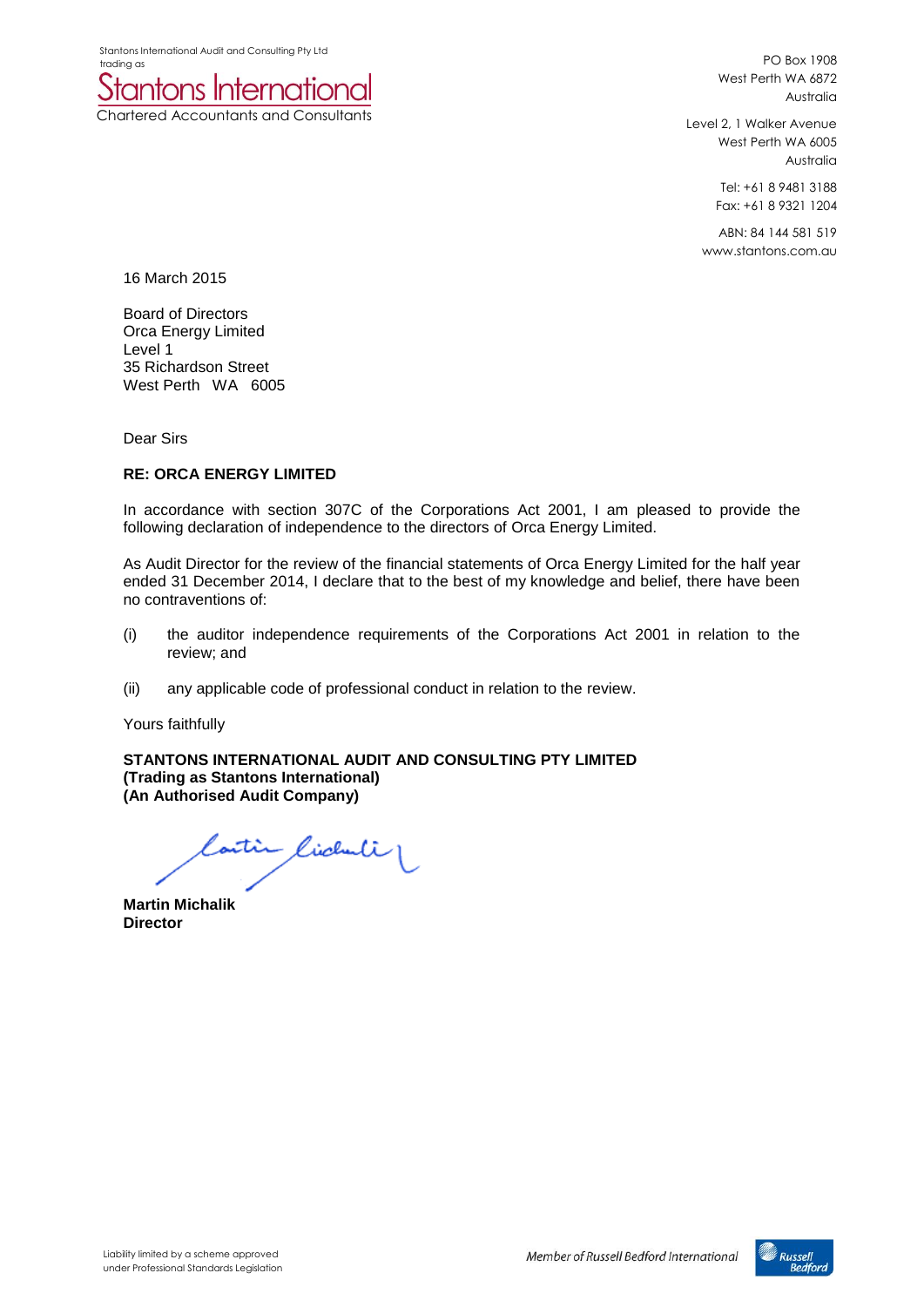Stantons International Audit and Consulting Pty Ltd trading as



PO Box 1908 West Perth WA 6872 Australia

Level 2, 1 Walker Avenue West Perth WA 6005 Australia

> Tel: +61 8 9481 3188 Fax: +61 8 9321 1204

ABN: 84 144 581 519 www.stantons.com.au

16 March 2015

Board of Directors Orca Energy Limited Level 1 35 Richardson Street West Perth WA 6005

Dear Sirs

### **RE: ORCA ENERGY LIMITED**

In accordance with section 307C of the Corporations Act 2001, I am pleased to provide the following declaration of independence to the directors of Orca Energy Limited.

As Audit Director for the review of the financial statements of Orca Energy Limited for the half year ended 31 December 2014, I declare that to the best of my knowledge and belief, there have been no contraventions of:

- (i) the auditor independence requirements of the Corporations Act 2001 in relation to the review; and
- (ii) any applicable code of professional conduct in relation to the review.

Yours faithfully

**STANTONS INTERNATIONAL AUDIT AND CONSULTING PTY LIMITED (Trading as Stantons International) (An Authorised Audit Company)**

Contin Cichuli

**Martin Michalik Director**

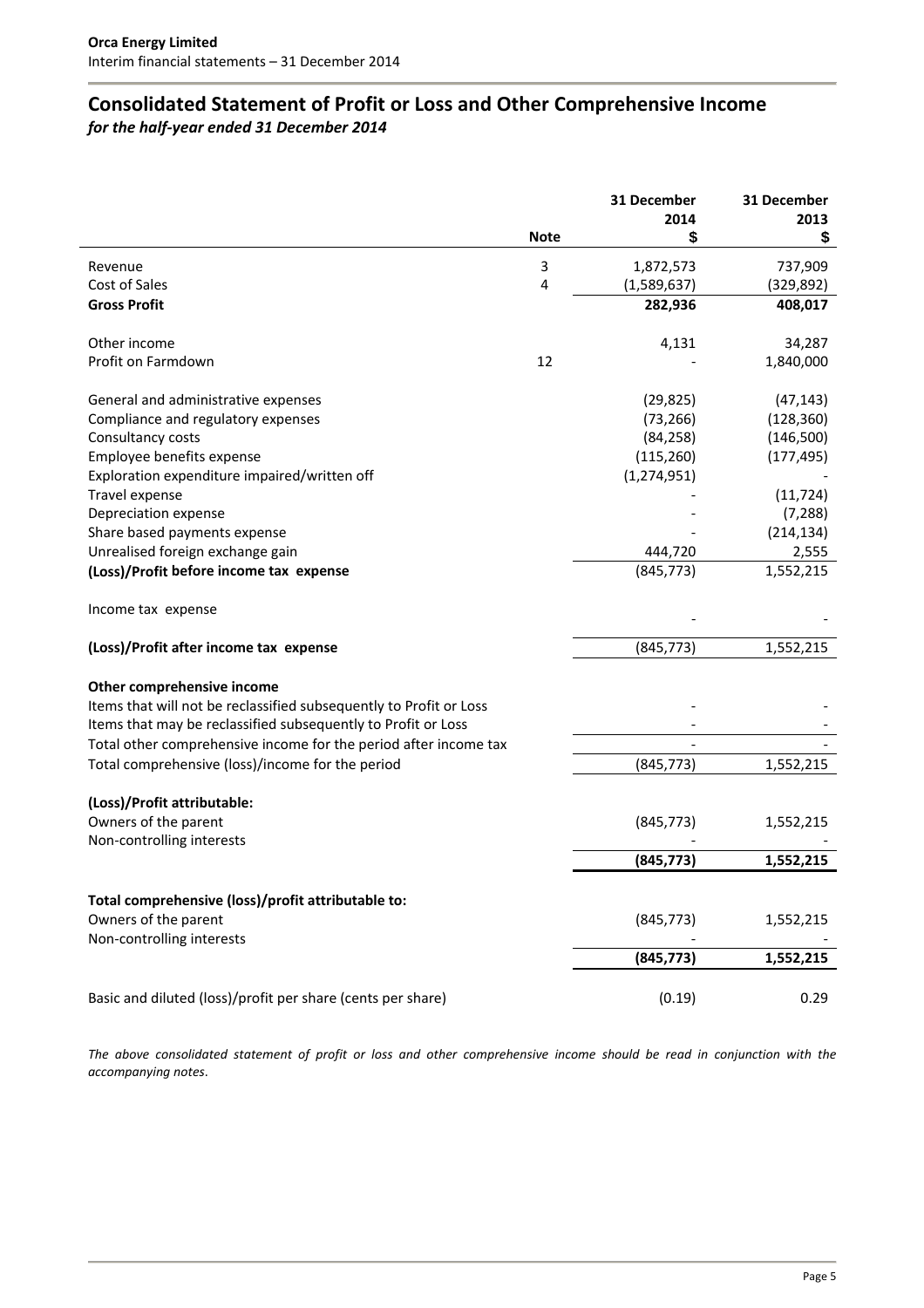# **Consolidated Statement of Profit or Loss and Other Comprehensive Income**

*for the half‐year ended 31 December 2014*

| 2014<br>2013<br><b>Note</b><br>S<br>\$<br>3<br>1,872,573<br>737,909<br>Revenue<br>Cost of Sales<br>4<br>(1,589,637)<br>(329, 892)<br><b>Gross Profit</b><br>282,936<br>408,017<br>Other income<br>4,131<br>34,287<br>Profit on Farmdown<br>12<br>1,840,000<br>General and administrative expenses<br>(29, 825)<br>(47, 143)<br>(73, 266)<br>(128, 360)<br>Compliance and regulatory expenses<br>Consultancy costs<br>(146,500)<br>(84, 258)<br>Employee benefits expense<br>(115, 260)<br>(177, 495)<br>Exploration expenditure impaired/written off<br>(1, 274, 951)<br>Travel expense<br>(11, 724)<br>Depreciation expense<br>(7, 288)<br>Share based payments expense<br>(214, 134)<br>Unrealised foreign exchange gain<br>2,555<br>444,720<br>(845, 773)<br>(Loss)/Profit before income tax expense<br>1,552,215<br>Income tax expense<br>(845, 773)<br>(Loss)/Profit after income tax expense<br>1,552,215<br>Other comprehensive income |
|-----------------------------------------------------------------------------------------------------------------------------------------------------------------------------------------------------------------------------------------------------------------------------------------------------------------------------------------------------------------------------------------------------------------------------------------------------------------------------------------------------------------------------------------------------------------------------------------------------------------------------------------------------------------------------------------------------------------------------------------------------------------------------------------------------------------------------------------------------------------------------------------------------------------------------------------------|
|                                                                                                                                                                                                                                                                                                                                                                                                                                                                                                                                                                                                                                                                                                                                                                                                                                                                                                                                               |
|                                                                                                                                                                                                                                                                                                                                                                                                                                                                                                                                                                                                                                                                                                                                                                                                                                                                                                                                               |
|                                                                                                                                                                                                                                                                                                                                                                                                                                                                                                                                                                                                                                                                                                                                                                                                                                                                                                                                               |
|                                                                                                                                                                                                                                                                                                                                                                                                                                                                                                                                                                                                                                                                                                                                                                                                                                                                                                                                               |
|                                                                                                                                                                                                                                                                                                                                                                                                                                                                                                                                                                                                                                                                                                                                                                                                                                                                                                                                               |
|                                                                                                                                                                                                                                                                                                                                                                                                                                                                                                                                                                                                                                                                                                                                                                                                                                                                                                                                               |
|                                                                                                                                                                                                                                                                                                                                                                                                                                                                                                                                                                                                                                                                                                                                                                                                                                                                                                                                               |
|                                                                                                                                                                                                                                                                                                                                                                                                                                                                                                                                                                                                                                                                                                                                                                                                                                                                                                                                               |
|                                                                                                                                                                                                                                                                                                                                                                                                                                                                                                                                                                                                                                                                                                                                                                                                                                                                                                                                               |
|                                                                                                                                                                                                                                                                                                                                                                                                                                                                                                                                                                                                                                                                                                                                                                                                                                                                                                                                               |
|                                                                                                                                                                                                                                                                                                                                                                                                                                                                                                                                                                                                                                                                                                                                                                                                                                                                                                                                               |
|                                                                                                                                                                                                                                                                                                                                                                                                                                                                                                                                                                                                                                                                                                                                                                                                                                                                                                                                               |
|                                                                                                                                                                                                                                                                                                                                                                                                                                                                                                                                                                                                                                                                                                                                                                                                                                                                                                                                               |
|                                                                                                                                                                                                                                                                                                                                                                                                                                                                                                                                                                                                                                                                                                                                                                                                                                                                                                                                               |
|                                                                                                                                                                                                                                                                                                                                                                                                                                                                                                                                                                                                                                                                                                                                                                                                                                                                                                                                               |
|                                                                                                                                                                                                                                                                                                                                                                                                                                                                                                                                                                                                                                                                                                                                                                                                                                                                                                                                               |
|                                                                                                                                                                                                                                                                                                                                                                                                                                                                                                                                                                                                                                                                                                                                                                                                                                                                                                                                               |
|                                                                                                                                                                                                                                                                                                                                                                                                                                                                                                                                                                                                                                                                                                                                                                                                                                                                                                                                               |
|                                                                                                                                                                                                                                                                                                                                                                                                                                                                                                                                                                                                                                                                                                                                                                                                                                                                                                                                               |
|                                                                                                                                                                                                                                                                                                                                                                                                                                                                                                                                                                                                                                                                                                                                                                                                                                                                                                                                               |
|                                                                                                                                                                                                                                                                                                                                                                                                                                                                                                                                                                                                                                                                                                                                                                                                                                                                                                                                               |
| Items that will not be reclassified subsequently to Profit or Loss                                                                                                                                                                                                                                                                                                                                                                                                                                                                                                                                                                                                                                                                                                                                                                                                                                                                            |
| Items that may be reclassified subsequently to Profit or Loss                                                                                                                                                                                                                                                                                                                                                                                                                                                                                                                                                                                                                                                                                                                                                                                                                                                                                 |
| Total other comprehensive income for the period after income tax                                                                                                                                                                                                                                                                                                                                                                                                                                                                                                                                                                                                                                                                                                                                                                                                                                                                              |
| Total comprehensive (loss)/income for the period<br>(845, 773)<br>1,552,215                                                                                                                                                                                                                                                                                                                                                                                                                                                                                                                                                                                                                                                                                                                                                                                                                                                                   |
| (Loss)/Profit attributable:                                                                                                                                                                                                                                                                                                                                                                                                                                                                                                                                                                                                                                                                                                                                                                                                                                                                                                                   |
| Owners of the parent<br>(845, 773)<br>1,552,215                                                                                                                                                                                                                                                                                                                                                                                                                                                                                                                                                                                                                                                                                                                                                                                                                                                                                               |
| Non-controlling interests                                                                                                                                                                                                                                                                                                                                                                                                                                                                                                                                                                                                                                                                                                                                                                                                                                                                                                                     |
| (845, 773)<br>1,552,215                                                                                                                                                                                                                                                                                                                                                                                                                                                                                                                                                                                                                                                                                                                                                                                                                                                                                                                       |
|                                                                                                                                                                                                                                                                                                                                                                                                                                                                                                                                                                                                                                                                                                                                                                                                                                                                                                                                               |
| Total comprehensive (loss)/profit attributable to:                                                                                                                                                                                                                                                                                                                                                                                                                                                                                                                                                                                                                                                                                                                                                                                                                                                                                            |
| Owners of the parent<br>(845, 773)<br>1,552,215                                                                                                                                                                                                                                                                                                                                                                                                                                                                                                                                                                                                                                                                                                                                                                                                                                                                                               |
| Non-controlling interests                                                                                                                                                                                                                                                                                                                                                                                                                                                                                                                                                                                                                                                                                                                                                                                                                                                                                                                     |
| (845, 773)<br>1,552,215                                                                                                                                                                                                                                                                                                                                                                                                                                                                                                                                                                                                                                                                                                                                                                                                                                                                                                                       |
| (0.19)<br>Basic and diluted (loss)/profit per share (cents per share)<br>0.29                                                                                                                                                                                                                                                                                                                                                                                                                                                                                                                                                                                                                                                                                                                                                                                                                                                                 |

The above consolidated statement of profit or loss and other comprehensive income should be read in conjunction with the *accompanying notes*.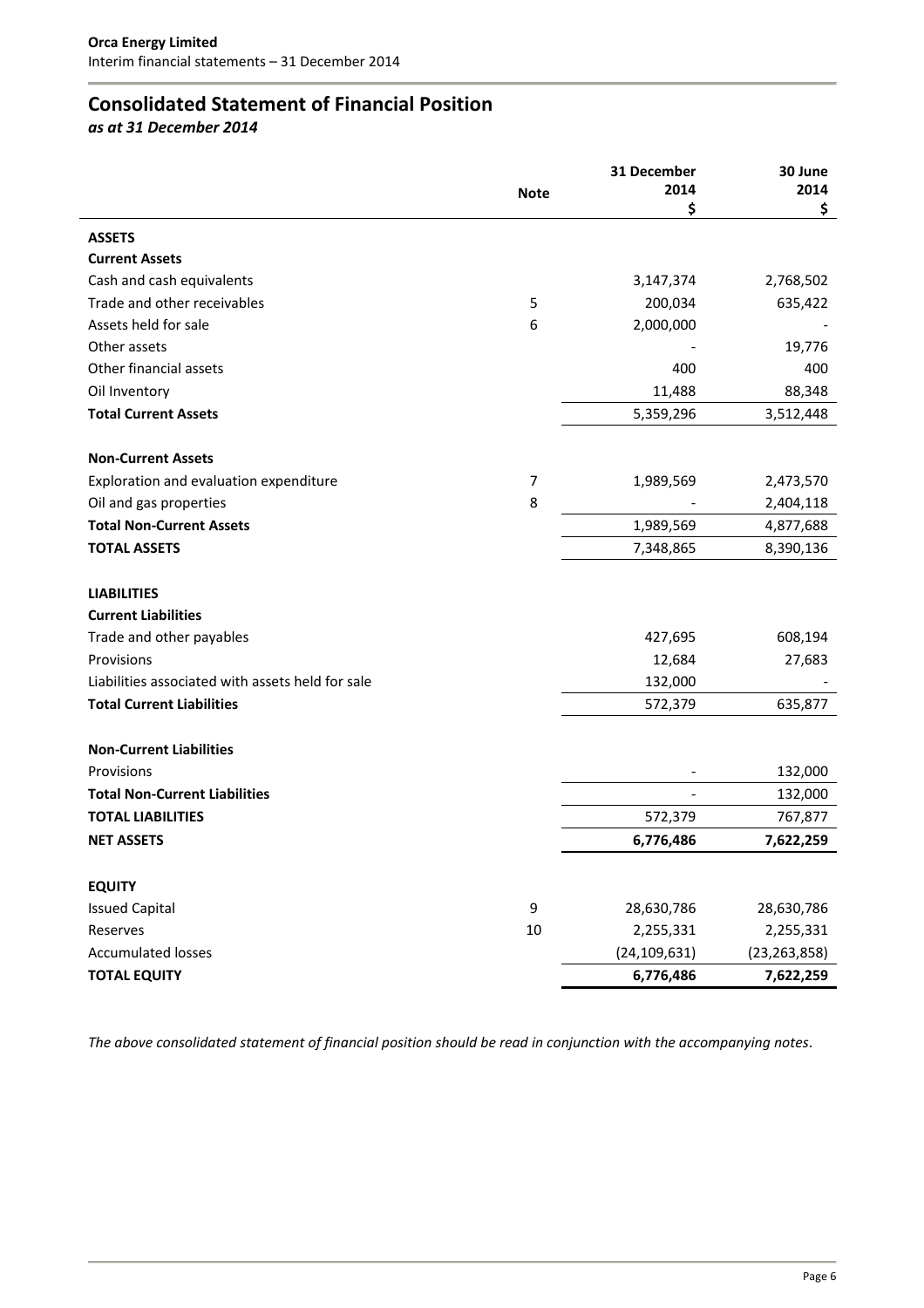# **Consolidated Statement of Financial Position**

*as at 31 December 2014*

|                                                  |             | 31 December    | 30 June        |
|--------------------------------------------------|-------------|----------------|----------------|
|                                                  | <b>Note</b> | 2014           | 2014           |
|                                                  |             | \$             | \$             |
| <b>ASSETS</b>                                    |             |                |                |
| <b>Current Assets</b>                            |             |                |                |
| Cash and cash equivalents                        |             | 3,147,374      | 2,768,502      |
| Trade and other receivables                      | 5           | 200,034        | 635,422        |
| Assets held for sale                             | 6           | 2,000,000      |                |
| Other assets                                     |             |                | 19,776         |
| Other financial assets                           |             | 400            | 400            |
| Oil Inventory                                    |             | 11,488         | 88,348         |
| <b>Total Current Assets</b>                      |             | 5,359,296      | 3,512,448      |
| <b>Non-Current Assets</b>                        |             |                |                |
| Exploration and evaluation expenditure           | 7           | 1,989,569      | 2,473,570      |
| Oil and gas properties                           | 8           |                | 2,404,118      |
| <b>Total Non-Current Assets</b>                  |             | 1,989,569      | 4,877,688      |
| <b>TOTAL ASSETS</b>                              |             | 7,348,865      | 8,390,136      |
| <b>LIABILITIES</b>                               |             |                |                |
| <b>Current Liabilities</b>                       |             |                |                |
| Trade and other payables                         |             | 427,695        | 608,194        |
| Provisions                                       |             | 12,684         | 27,683         |
| Liabilities associated with assets held for sale |             | 132,000        |                |
| <b>Total Current Liabilities</b>                 |             | 572,379        | 635,877        |
|                                                  |             |                |                |
| <b>Non-Current Liabilities</b>                   |             |                |                |
| Provisions                                       |             |                | 132,000        |
| <b>Total Non-Current Liabilities</b>             |             |                | 132,000        |
| <b>TOTAL LIABILITIES</b>                         |             | 572,379        | 767,877        |
| <b>NET ASSETS</b>                                |             | 6,776,486      | 7,622,259      |
| <b>EQUITY</b>                                    |             |                |                |
| <b>Issued Capital</b>                            | 9           | 28,630,786     | 28,630,786     |
| Reserves                                         | 10          | 2,255,331      | 2,255,331      |
| <b>Accumulated losses</b>                        |             | (24, 109, 631) | (23, 263, 858) |
| <b>TOTAL EQUITY</b>                              |             | 6,776,486      | 7,622,259      |
|                                                  |             |                |                |

The above consolidated statement of financial position should be read in conjunction with the accompanying notes.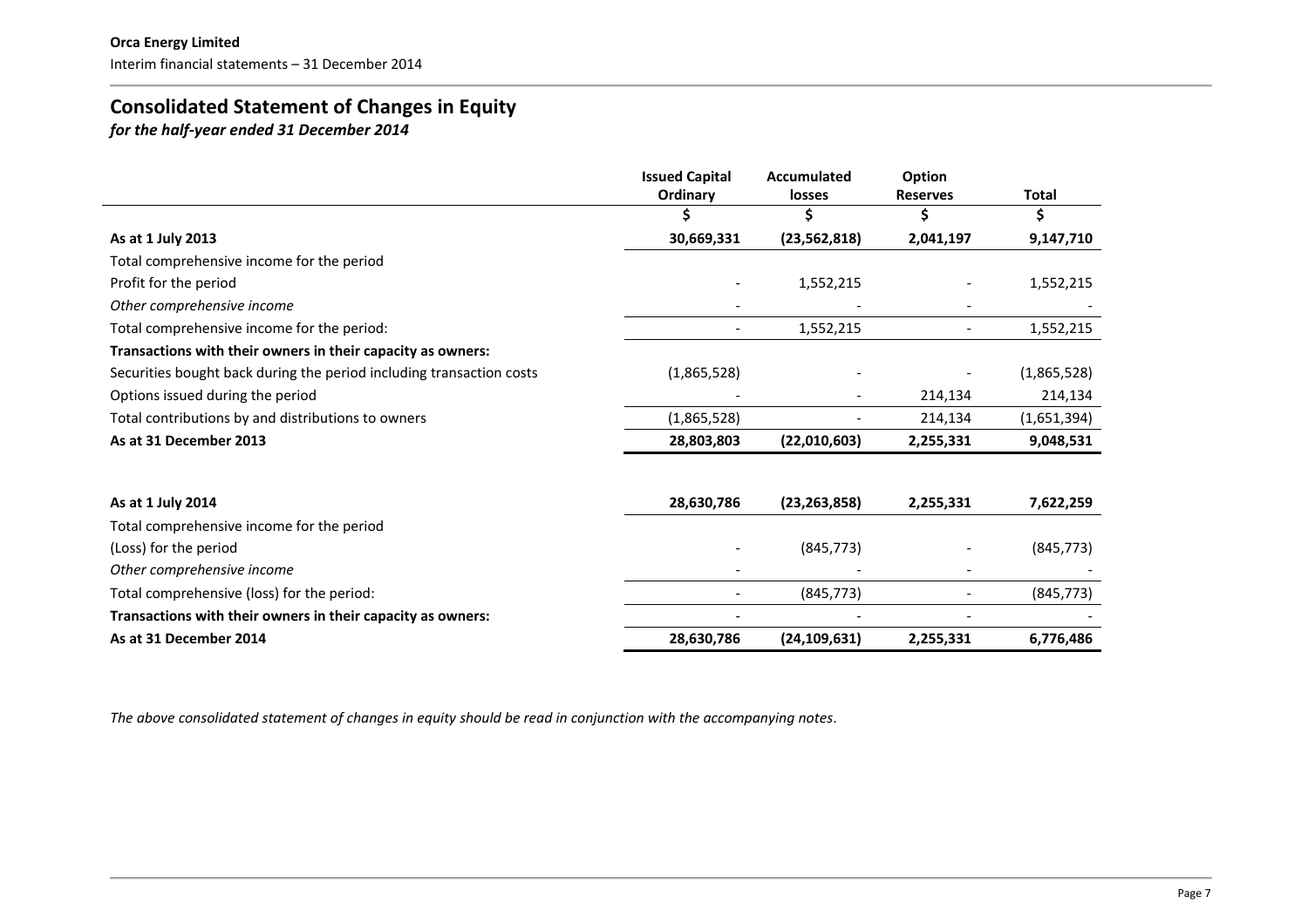# **Consolidated Statement of Changes in Equity**

*for the half‐year ended 31 December 2014*

|                                                                      | <b>Issued Capital</b> | <b>Accumulated</b> | Option          |              |
|----------------------------------------------------------------------|-----------------------|--------------------|-----------------|--------------|
|                                                                      | Ordinary              | losses             | <b>Reserves</b> | <b>Total</b> |
|                                                                      |                       |                    |                 | Ś            |
| As at 1 July 2013                                                    | 30,669,331            | (23, 562, 818)     | 2,041,197       | 9,147,710    |
| Total comprehensive income for the period                            |                       |                    |                 |              |
| Profit for the period                                                |                       | 1,552,215          |                 | 1,552,215    |
| Other comprehensive income                                           |                       |                    |                 |              |
| Total comprehensive income for the period:                           |                       | 1,552,215          |                 | 1,552,215    |
| Transactions with their owners in their capacity as owners:          |                       |                    |                 |              |
| Securities bought back during the period including transaction costs | (1,865,528)           |                    |                 | (1,865,528)  |
| Options issued during the period                                     |                       |                    | 214,134         | 214,134      |
| Total contributions by and distributions to owners                   | (1,865,528)           |                    | 214,134         | (1,651,394)  |
| As at 31 December 2013                                               | 28,803,803            | (22,010,603)       | 2,255,331       | 9,048,531    |
| As at 1 July 2014                                                    | 28,630,786            | (23, 263, 858)     | 2,255,331       | 7,622,259    |
| Total comprehensive income for the period                            |                       |                    |                 |              |
| (Loss) for the period                                                |                       | (845, 773)         |                 | (845, 773)   |
| Other comprehensive income                                           |                       |                    |                 |              |
| Total comprehensive (loss) for the period:                           |                       | (845, 773)         |                 | (845, 773)   |
| Transactions with their owners in their capacity as owners:          |                       |                    |                 |              |
| As at 31 December 2014                                               | 28,630,786            | (24, 109, 631)     | 2,255,331       | 6,776,486    |

The above consolidated statement of changes in equity should be read in conjunction with the accompanying notes.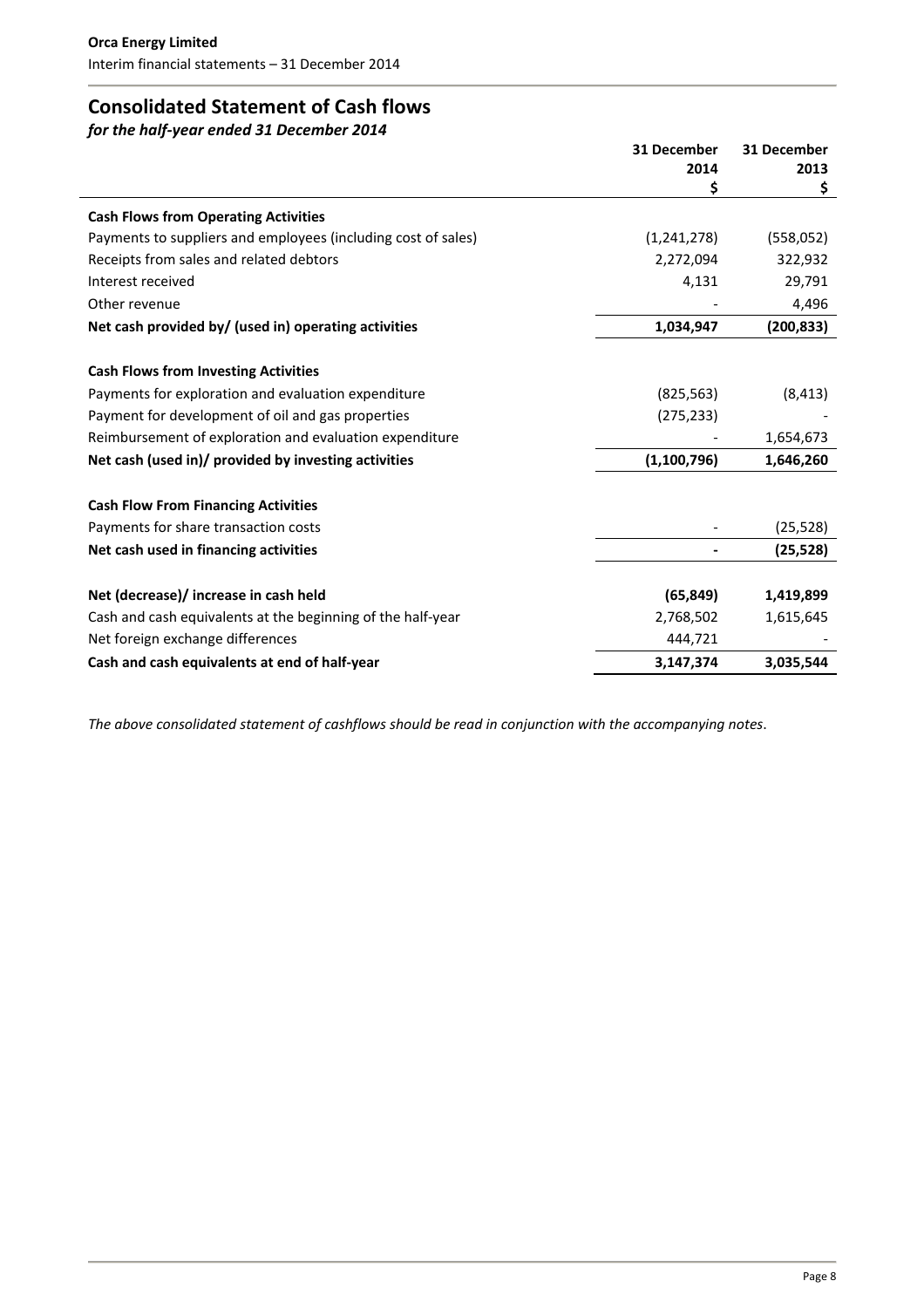# **Consolidated Statement of Cash flows**

*for the half‐year ended 31 December 2014*

|                                                               | 31 December   | 31 December |
|---------------------------------------------------------------|---------------|-------------|
|                                                               | 2014          | 2013        |
|                                                               | \$            | \$          |
| <b>Cash Flows from Operating Activities</b>                   |               |             |
| Payments to suppliers and employees (including cost of sales) | (1,241,278)   | (558, 052)  |
| Receipts from sales and related debtors                       | 2,272,094     | 322,932     |
| Interest received                                             | 4,131         | 29,791      |
| Other revenue                                                 |               | 4,496       |
| Net cash provided by/ (used in) operating activities          | 1,034,947     | (200, 833)  |
|                                                               |               |             |
| <b>Cash Flows from Investing Activities</b>                   |               |             |
| Payments for exploration and evaluation expenditure           | (825, 563)    | (8, 413)    |
| Payment for development of oil and gas properties             | (275, 233)    |             |
| Reimbursement of exploration and evaluation expenditure       |               | 1,654,673   |
| Net cash (used in)/ provided by investing activities          | (1, 100, 796) | 1,646,260   |
| <b>Cash Flow From Financing Activities</b>                    |               |             |
| Payments for share transaction costs                          |               | (25, 528)   |
| Net cash used in financing activities                         |               | (25, 528)   |
|                                                               |               |             |
| Net (decrease)/ increase in cash held                         | (65, 849)     | 1,419,899   |
| Cash and cash equivalents at the beginning of the half-year   | 2,768,502     | 1,615,645   |
| Net foreign exchange differences                              | 444,721       |             |
| Cash and cash equivalents at end of half-year                 | 3,147,374     | 3,035,544   |

*The above consolidated statement of cashflows should be read in conjunction with the accompanying notes*.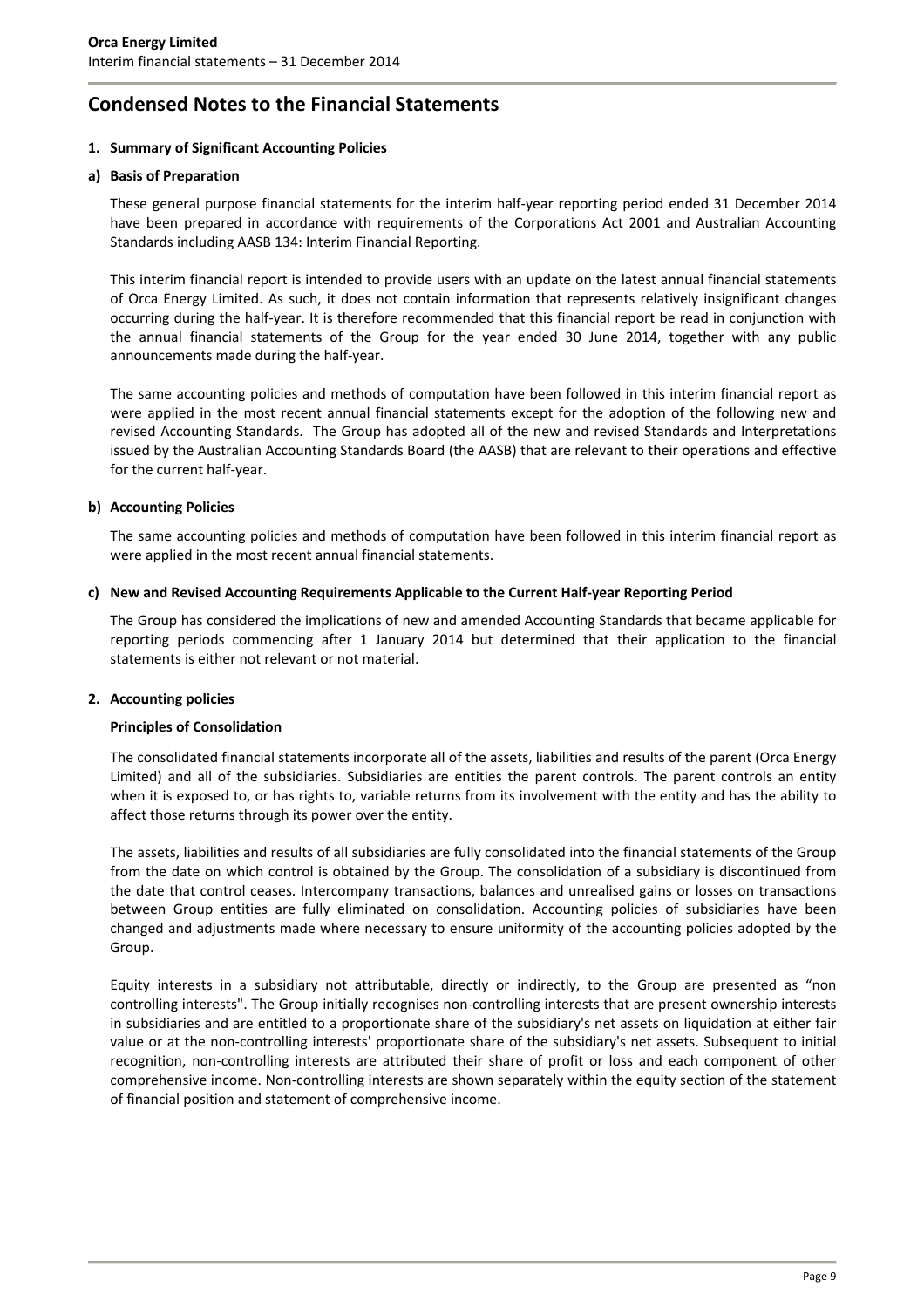# **Condensed Notes to the Financial Statements**

### **1. Summary of Significant Accounting Policies**

#### **a) Basis of Preparation**

These general purpose financial statements for the interim half‐year reporting period ended 31 December 2014 have been prepared in accordance with requirements of the Corporations Act 2001 and Australian Accounting Standards including AASB 134: Interim Financial Reporting.

This interim financial report is intended to provide users with an update on the latest annual financial statements of Orca Energy Limited. As such, it does not contain information that represents relatively insignificant changes occurring during the half‐year. It is therefore recommended that this financial report be read in conjunction with the annual financial statements of the Group for the year ended 30 June 2014, together with any public announcements made during the half‐year.

The same accounting policies and methods of computation have been followed in this interim financial report as were applied in the most recent annual financial statements except for the adoption of the following new and revised Accounting Standards. The Group has adopted all of the new and revised Standards and Interpretations issued by the Australian Accounting Standards Board (the AASB) that are relevant to their operations and effective for the current half‐year.

### **b) Accounting Policies**

The same accounting policies and methods of computation have been followed in this interim financial report as were applied in the most recent annual financial statements.

### **c) New and Revised Accounting Requirements Applicable to the Current Half‐year Reporting Period**

The Group has considered the implications of new and amended Accounting Standards that became applicable for reporting periods commencing after 1 January 2014 but determined that their application to the financial statements is either not relevant or not material.

### **2. Accounting policies**

### **Principles of Consolidation**

The consolidated financial statements incorporate all of the assets, liabilities and results of the parent (Orca Energy Limited) and all of the subsidiaries. Subsidiaries are entities the parent controls. The parent controls an entity when it is exposed to, or has rights to, variable returns from its involvement with the entity and has the ability to affect those returns through its power over the entity.

The assets, liabilities and results of all subsidiaries are fully consolidated into the financial statements of the Group from the date on which control is obtained by the Group. The consolidation of a subsidiary is discontinued from the date that control ceases. Intercompany transactions, balances and unrealised gains or losses on transactions between Group entities are fully eliminated on consolidation. Accounting policies of subsidiaries have been changed and adjustments made where necessary to ensure uniformity of the accounting policies adopted by the Group.

Equity interests in a subsidiary not attributable, directly or indirectly, to the Group are presented as "non controlling interests". The Group initially recognises non-controlling interests that are present ownership interests in subsidiaries and are entitled to a proportionate share of the subsidiary's net assets on liquidation at either fair value or at the non-controlling interests' proportionate share of the subsidiary's net assets. Subsequent to initial recognition, non‐controlling interests are attributed their share of profit or loss and each component of other comprehensive income. Non‐controlling interests are shown separately within the equity section of the statement of financial position and statement of comprehensive income.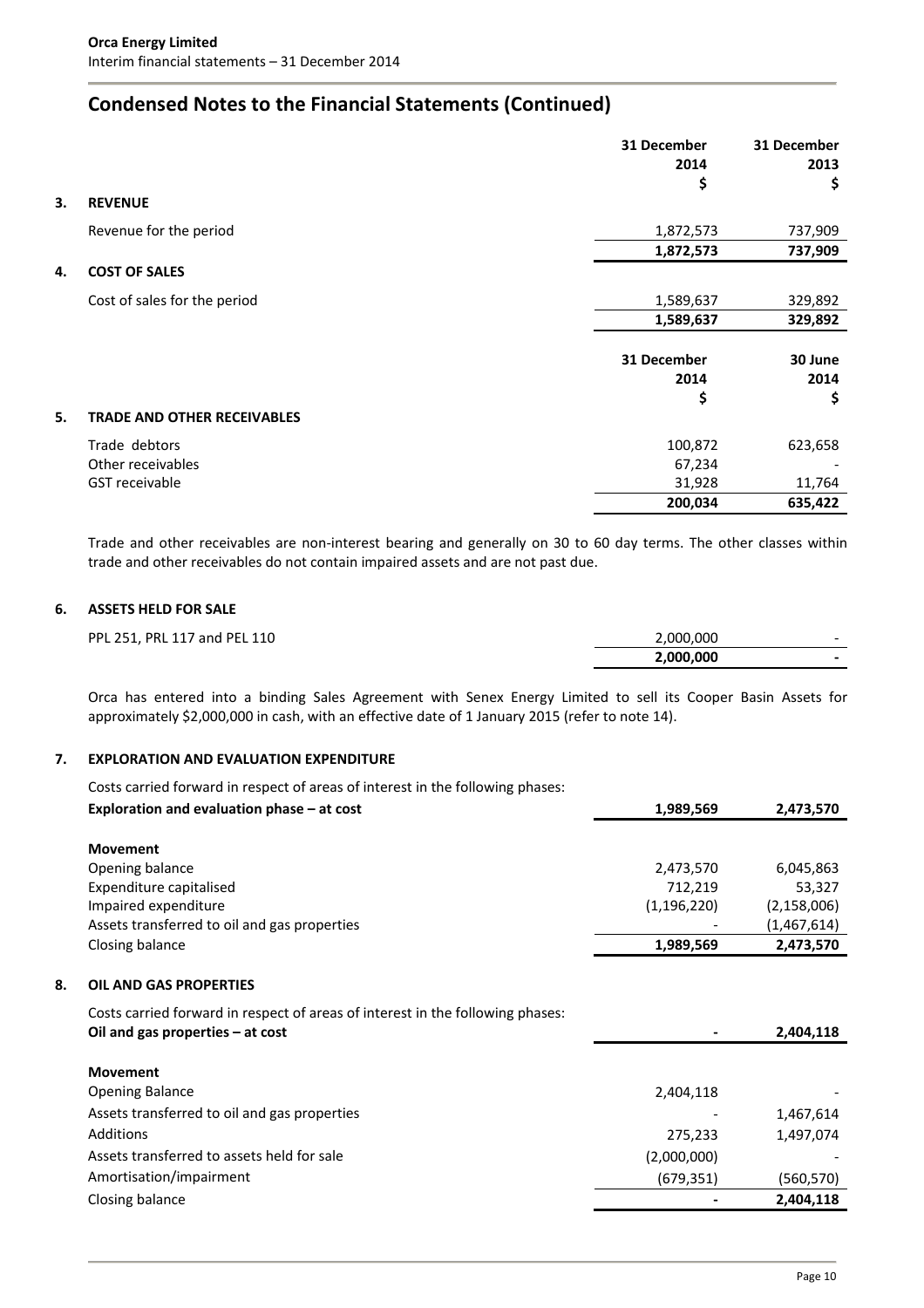# **Condensed Notes to the Financial Statements (Continued)**

|    |                                    | 31 December | 31 December |
|----|------------------------------------|-------------|-------------|
|    |                                    | 2014        | 2013        |
|    |                                    | \$          | \$          |
| 3. | <b>REVENUE</b>                     |             |             |
|    | Revenue for the period             | 1,872,573   | 737,909     |
|    |                                    | 1,872,573   | 737,909     |
| 4. | <b>COST OF SALES</b>               |             |             |
|    | Cost of sales for the period       | 1,589,637   | 329,892     |
|    |                                    | 1,589,637   | 329,892     |
|    |                                    |             |             |
|    |                                    | 31 December | 30 June     |
|    |                                    | 2014        | 2014        |
|    |                                    | \$          | \$          |
| 5. | <b>TRADE AND OTHER RECEIVABLES</b> |             |             |
|    | Trade debtors                      | 100,872     | 623,658     |
|    | Other receivables                  | 67,234      |             |
|    | <b>GST</b> receivable              | 31,928      | 11,764      |
|    |                                    | 200,034     | 635,422     |

Trade and other receivables are non-interest bearing and generally on 30 to 60 day terms. The other classes within trade and other receivables do not contain impaired assets and are not past due.

### **6. ASSETS HELD FOR SALE**

| PPL 251, PRL 117 and PEL 110 | 2,000,000 | $\overline{\phantom{0}}$ |
|------------------------------|-----------|--------------------------|
|                              | 2,000,000 |                          |

Orca has entered into a binding Sales Agreement with Senex Energy Limited to sell its Cooper Basin Assets for approximately \$2,000,000 in cash, with an effective date of 1 January 2015 (refer to note 14).

### **7. EXPLORATION AND EVALUATION EXPENDITURE**

|    | Costs carried forward in respect of areas of interest in the following phases:                                       |               |               |
|----|----------------------------------------------------------------------------------------------------------------------|---------------|---------------|
|    | Exploration and evaluation phase - at cost                                                                           | 1,989,569     | 2,473,570     |
|    |                                                                                                                      |               |               |
|    | <b>Movement</b>                                                                                                      |               |               |
|    | Opening balance                                                                                                      | 2,473,570     | 6,045,863     |
|    | Expenditure capitalised                                                                                              | 712,219       | 53,327        |
|    | Impaired expenditure                                                                                                 | (1, 196, 220) | (2, 158, 006) |
|    | Assets transferred to oil and gas properties                                                                         |               | (1,467,614)   |
|    | Closing balance                                                                                                      | 1,989,569     | 2,473,570     |
| 8. | <b>OIL AND GAS PROPERTIES</b>                                                                                        |               |               |
|    | Costs carried forward in respect of areas of interest in the following phases:<br>Oil and gas properties $-$ at cost |               | 2,404,118     |
|    |                                                                                                                      |               |               |
|    | <b>Movement</b>                                                                                                      |               |               |
|    | <b>Opening Balance</b>                                                                                               | 2,404,118     |               |
|    | Assets transferred to oil and gas properties                                                                         |               | 1,467,614     |
|    | Additions                                                                                                            | 275,233       | 1,497,074     |
|    | Assets transferred to assets held for sale                                                                           | (2,000,000)   |               |
|    | Amortisation/impairment                                                                                              | (679, 351)    | (560, 570)    |
|    | Closing balance                                                                                                      |               | 2,404,118     |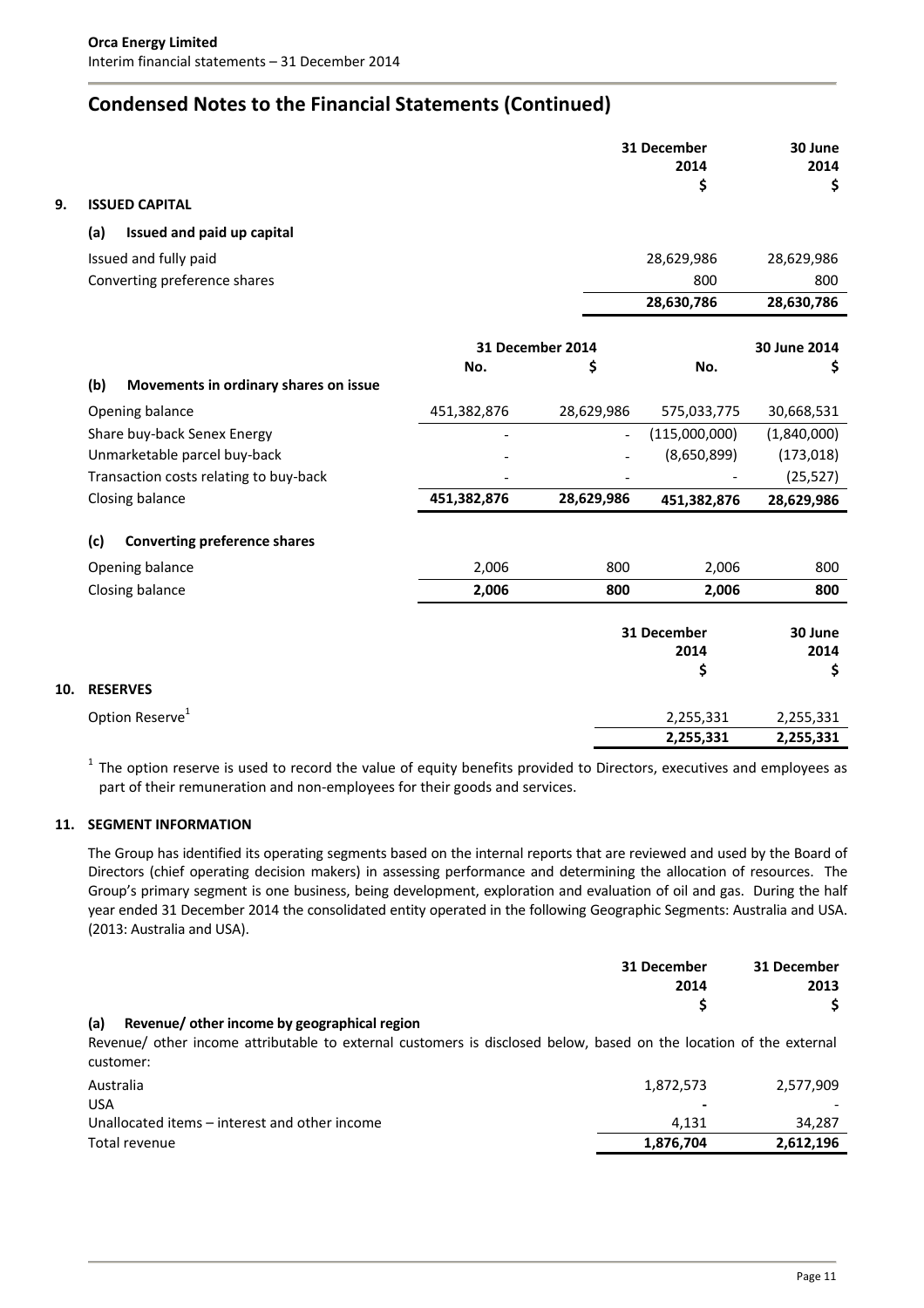# **Condensed Notes to the Financial Statements (Continued)**

| 9.  | <b>ISSUED CAPITAL</b>                        |             |                  | 31 December<br>2014<br>\$ | 30 June<br>2014<br>\$ |
|-----|----------------------------------------------|-------------|------------------|---------------------------|-----------------------|
|     | Issued and paid up capital<br>(a)            |             |                  |                           |                       |
|     | Issued and fully paid                        |             |                  | 28,629,986                | 28,629,986            |
|     | Converting preference shares                 |             |                  | 800                       | 800                   |
|     |                                              |             |                  | 28,630,786                | 28,630,786            |
|     |                                              |             | 31 December 2014 |                           | 30 June 2014          |
|     |                                              | No.         | \$               | No.                       | \$                    |
|     | (b)<br>Movements in ordinary shares on issue |             |                  |                           |                       |
|     | Opening balance                              | 451,382,876 | 28,629,986       | 575,033,775               | 30,668,531            |
|     | Share buy-back Senex Energy                  |             |                  | (115,000,000)             | (1,840,000)           |
|     | Unmarketable parcel buy-back                 |             |                  | (8,650,899)               | (173, 018)            |
|     | Transaction costs relating to buy-back       |             |                  |                           | (25, 527)             |
|     | Closing balance                              | 451,382,876 | 28,629,986       | 451,382,876               | 28,629,986            |
|     | (c)<br><b>Converting preference shares</b>   |             |                  |                           |                       |
|     | Opening balance                              | 2,006       | 800              | 2,006                     | 800                   |
|     | Closing balance                              | 2,006       | 800              | 2,006                     | 800                   |
|     |                                              |             |                  | 31 December               | 30 June               |
|     |                                              |             |                  | 2014                      | 2014                  |
| 10. | <b>RESERVES</b>                              |             |                  | \$                        | \$                    |
|     |                                              |             |                  |                           |                       |
|     | Option Reserve <sup>1</sup>                  |             |                  | 2,255,331                 | 2,255,331             |
|     |                                              |             |                  | 2,255,331                 | 2,255,331             |

 $1$  The option reserve is used to record the value of equity benefits provided to Directors, executives and employees as part of their remuneration and non‐employees for their goods and services.

# **11. SEGMENT INFORMATION**

The Group has identified its operating segments based on the internal reports that are reviewed and used by the Board of Directors (chief operating decision makers) in assessing performance and determining the allocation of resources. The Group's primary segment is one business, being development, exploration and evaluation of oil and gas. During the half year ended 31 December 2014 the consolidated entity operated in the following Geographic Segments: Australia and USA. (2013: Australia and USA).

| 31 December<br>2014 | 31 December<br>2013                                                                                                |
|---------------------|--------------------------------------------------------------------------------------------------------------------|
|                     |                                                                                                                    |
| 1,872,573           | 2,577,909                                                                                                          |
|                     | Revenue/ other income attributable to external customers is disclosed below, based on the location of the external |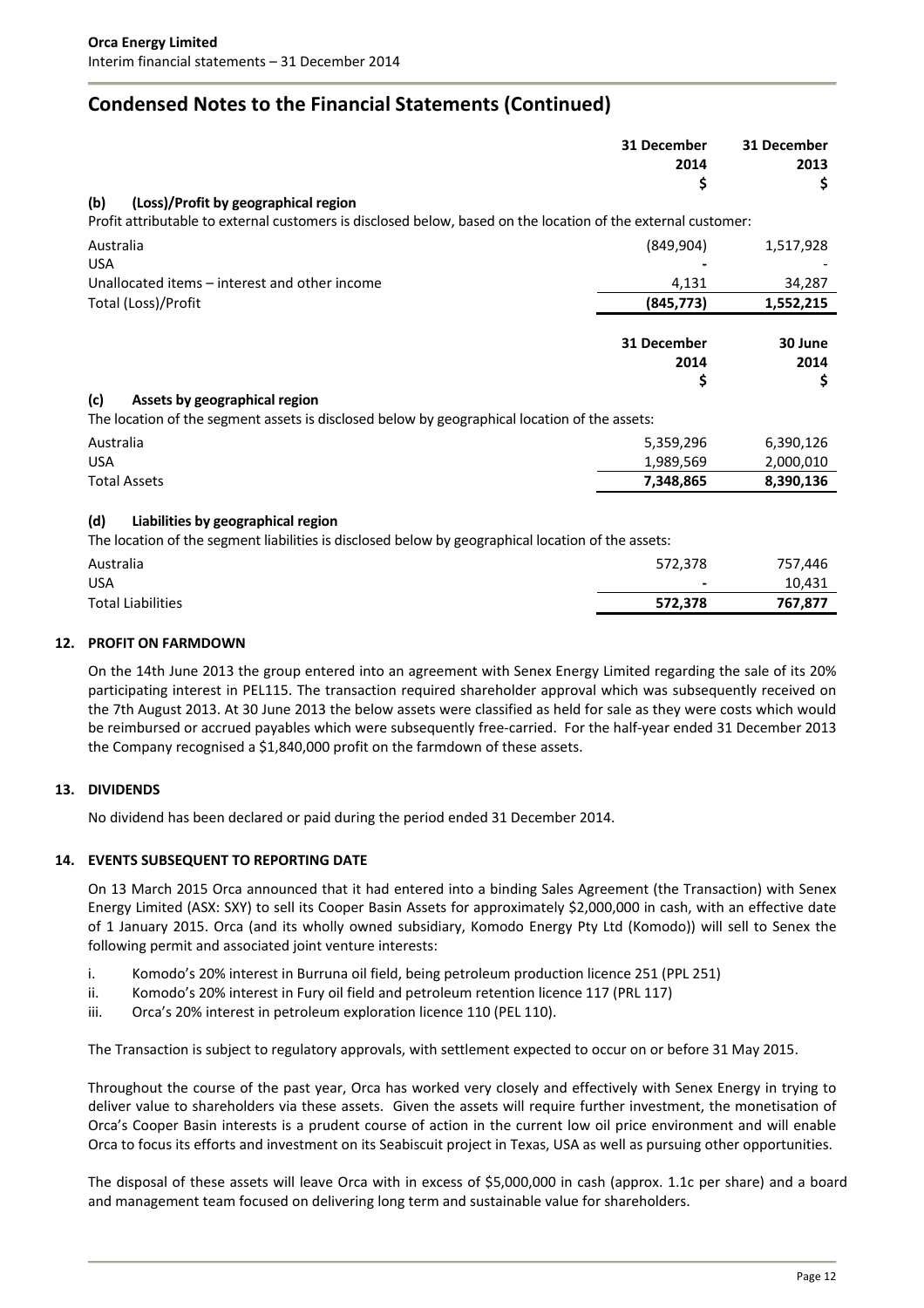# **Condensed Notes to the Financial Statements (Continued)**

|                                                                                                                                                              | 31 December<br>2014<br>\$ | 31 December<br>2013<br>\$ |
|--------------------------------------------------------------------------------------------------------------------------------------------------------------|---------------------------|---------------------------|
| (b)<br>(Loss)/Profit by geographical region<br>Profit attributable to external customers is disclosed below, based on the location of the external customer: |                           |                           |
| Australia                                                                                                                                                    | (849, 904)                | 1,517,928                 |
| <b>USA</b>                                                                                                                                                   |                           |                           |
| Unallocated items – interest and other income                                                                                                                | 4,131                     | 34,287                    |
| Total (Loss)/Profit                                                                                                                                          | (845, 773)                | 1,552,215                 |
|                                                                                                                                                              | 31 December<br>2014       | 30 June<br>2014           |
|                                                                                                                                                              | \$                        | \$                        |
| (c)<br>Assets by geographical region<br>The location of the segment assets is disclosed below by geographical location of the assets:                        |                           |                           |
| Australia                                                                                                                                                    | 5,359,296                 | 6,390,126                 |
| <b>USA</b>                                                                                                                                                   | 1,989,569                 | 2,000,010                 |
| <b>Total Assets</b>                                                                                                                                          | 7,348,865                 | 8,390,136                 |
| (d)<br>Liabilities by geographical region<br>The location of the segment liabilities is disclosed below by geographical location of the assets:              |                           |                           |
| Australia                                                                                                                                                    | 572,378                   | 757,446                   |
| <b>USA</b>                                                                                                                                                   |                           | 10,431                    |
| <b>Total Liabilities</b>                                                                                                                                     | 572,378                   | 767,877                   |
| <b>DROELT ON EARMADOUM</b>                                                                                                                                   |                           |                           |

### **12. PROFIT ON FARMDOWN**

On the 14th June 2013 the group entered into an agreement with Senex Energy Limited regarding the sale of its 20% participating interest in PEL115. The transaction required shareholder approval which was subsequently received on the 7th August 2013. At 30 June 2013 the below assets were classified as held for sale as they were costs which would be reimbursed or accrued payables which were subsequently free-carried. For the half-year ended 31 December 2013 the Company recognised a \$1,840,000 profit on the farmdown of these assets.

### **13. DIVIDENDS**

No dividend has been declared or paid during the period ended 31 December 2014.

### **14. EVENTS SUBSEQUENT TO REPORTING DATE**

On 13 March 2015 Orca announced that it had entered into a binding Sales Agreement (the Transaction) with Senex Energy Limited (ASX: SXY) to sell its Cooper Basin Assets for approximately \$2,000,000 in cash, with an effective date of 1 January 2015. Orca (and its wholly owned subsidiary, Komodo Energy Pty Ltd (Komodo)) will sell to Senex the following permit and associated joint venture interests:

- i. Komodo's 20% interest in Burruna oil field, being petroleum production licence 251 (PPL 251)
- ii. Komodo's 20% interest in Fury oil field and petroleum retention licence 117 (PRL 117)
- iii. Orca's 20% interest in petroleum exploration licence 110 (PEL 110).

The Transaction is subject to regulatory approvals, with settlement expected to occur on or before 31 May 2015.

Throughout the course of the past year, Orca has worked very closely and effectively with Senex Energy in trying to deliver value to shareholders via these assets. Given the assets will require further investment, the monetisation of Orca's Cooper Basin interests is a prudent course of action in the current low oil price environment and will enable Orca to focus its efforts and investment on its Seabiscuit project in Texas, USA as well as pursuing other opportunities.

The disposal of these assets will leave Orca with in excess of \$5,000,000 in cash (approx. 1.1c per share) and a board and management team focused on delivering long term and sustainable value for shareholders.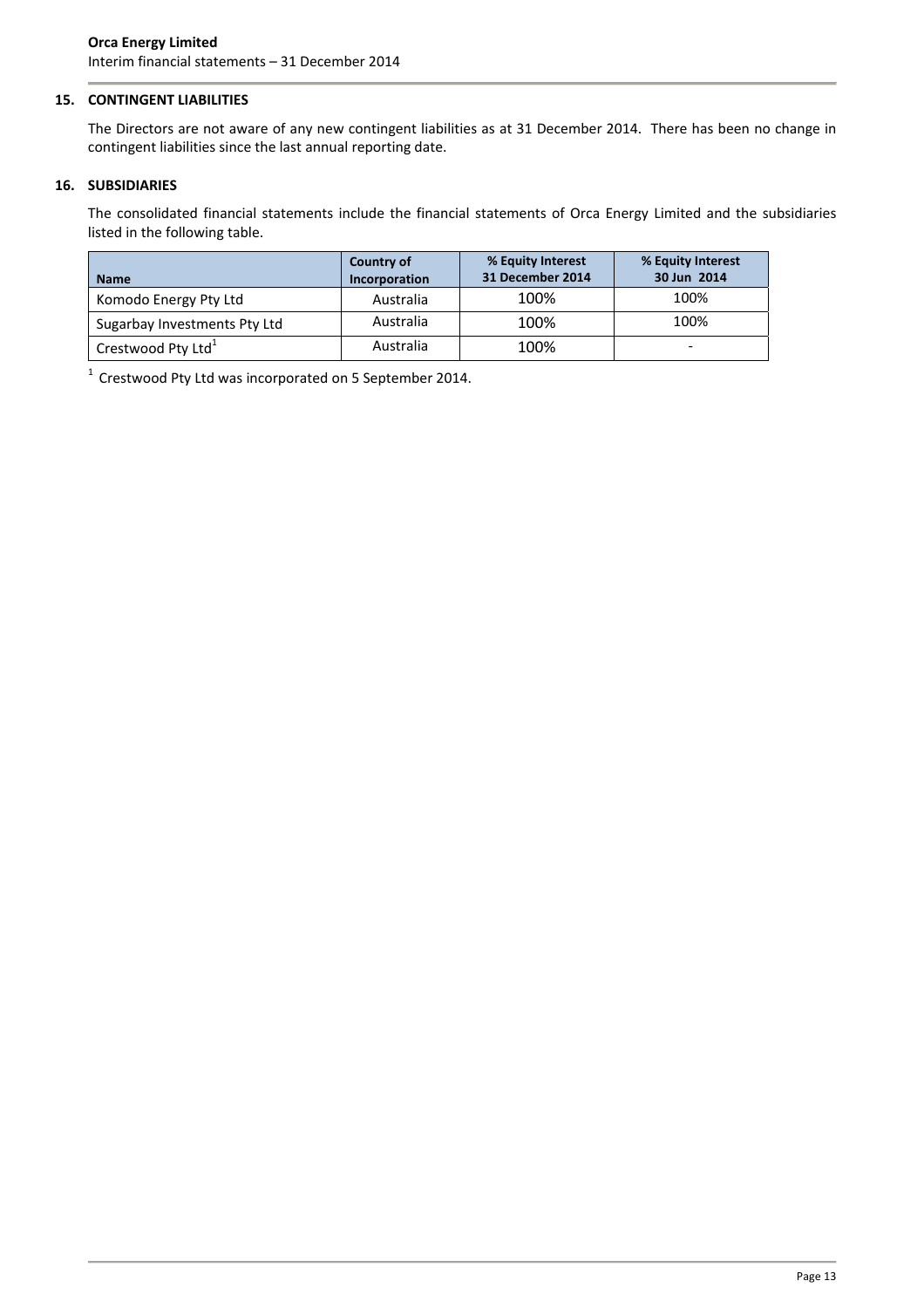### **15. CONTINGENT LIABILITIES**

The Directors are not aware of any new contingent liabilities as at 31 December 2014. There has been no change in contingent liabilities since the last annual reporting date.

### **16. SUBSIDIARIES**

The consolidated financial statements include the financial statements of Orca Energy Limited and the subsidiaries listed in the following table.

| <b>Name</b>                    | Country of<br>Incorporation | % Equity Interest<br>31 December 2014 | % Equity Interest<br>30 Jun 2014 |
|--------------------------------|-----------------------------|---------------------------------------|----------------------------------|
| Komodo Energy Pty Ltd          | Australia                   | 100%                                  | 100%                             |
| Sugarbay Investments Pty Ltd   | Australia                   | 100%                                  | 100%                             |
| Crestwood Pty Ltd <sup>1</sup> | Australia                   | 100%                                  | -                                |

 $^1$  Crestwood Pty Ltd was incorporated on 5 September 2014.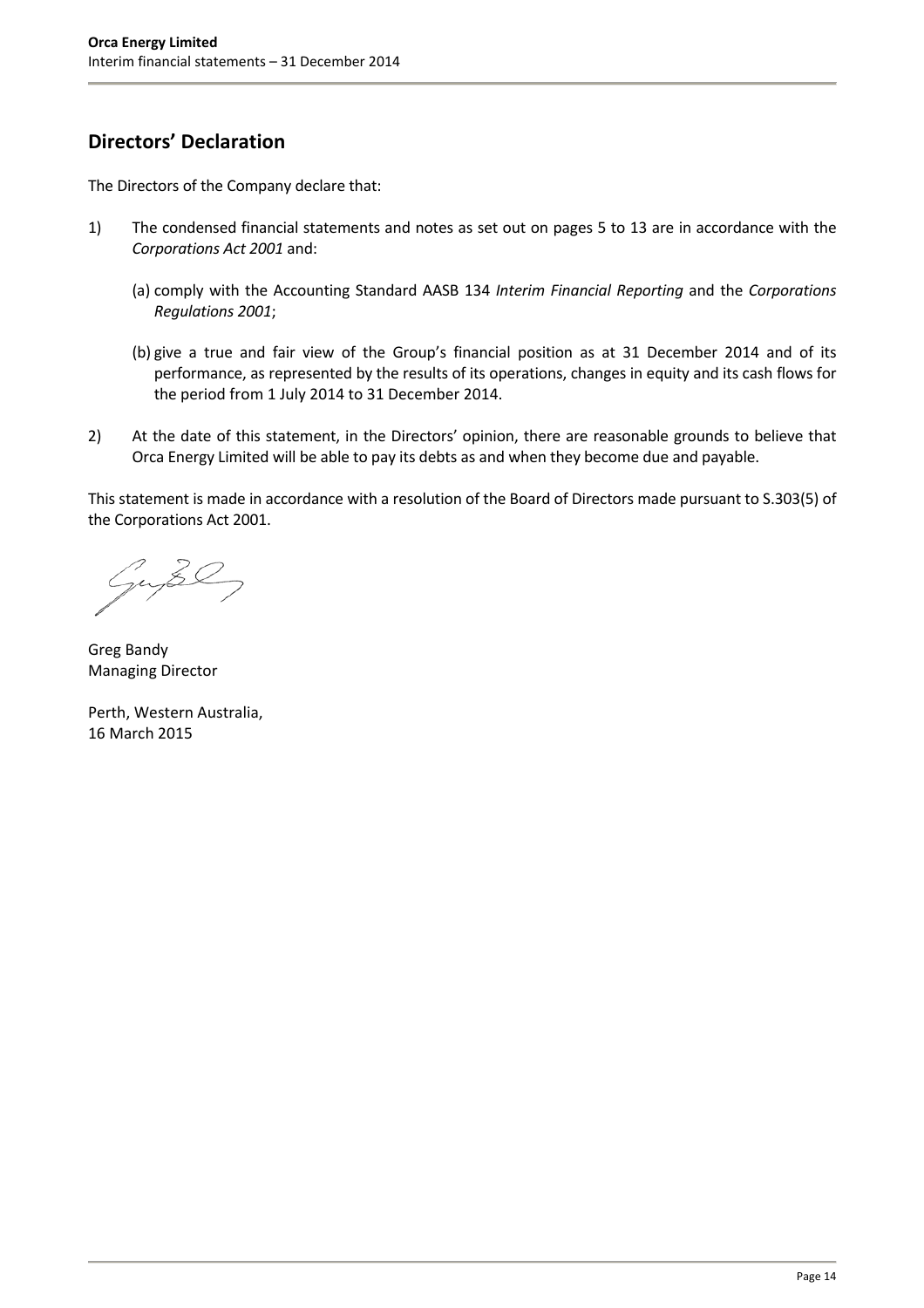# **Directors' Declaration**

The Directors of the Company declare that:

- 1) The condensed financial statements and notes as set out on pages 5 to 13 are in accordance with the *Corporations Act 2001* and:
	- (a) comply with the Accounting Standard AASB 134 *Interim Financial Reporting* and the *Corporations Regulations 2001*;
	- (b) give a true and fair view of the Group's financial position as at 31 December 2014 and of its performance, as represented by the results of its operations, changes in equity and its cash flows for the period from 1 July 2014 to 31 December 2014.
- 2) At the date of this statement, in the Directors' opinion, there are reasonable grounds to believe that Orca Energy Limited will be able to pay its debts as and when they become due and payable.

This statement is made in accordance with a resolution of the Board of Directors made pursuant to S.303(5) of the Corporations Act 2001.

nuse

Greg Bandy Managing Director

Perth, Western Australia, 16 March 2015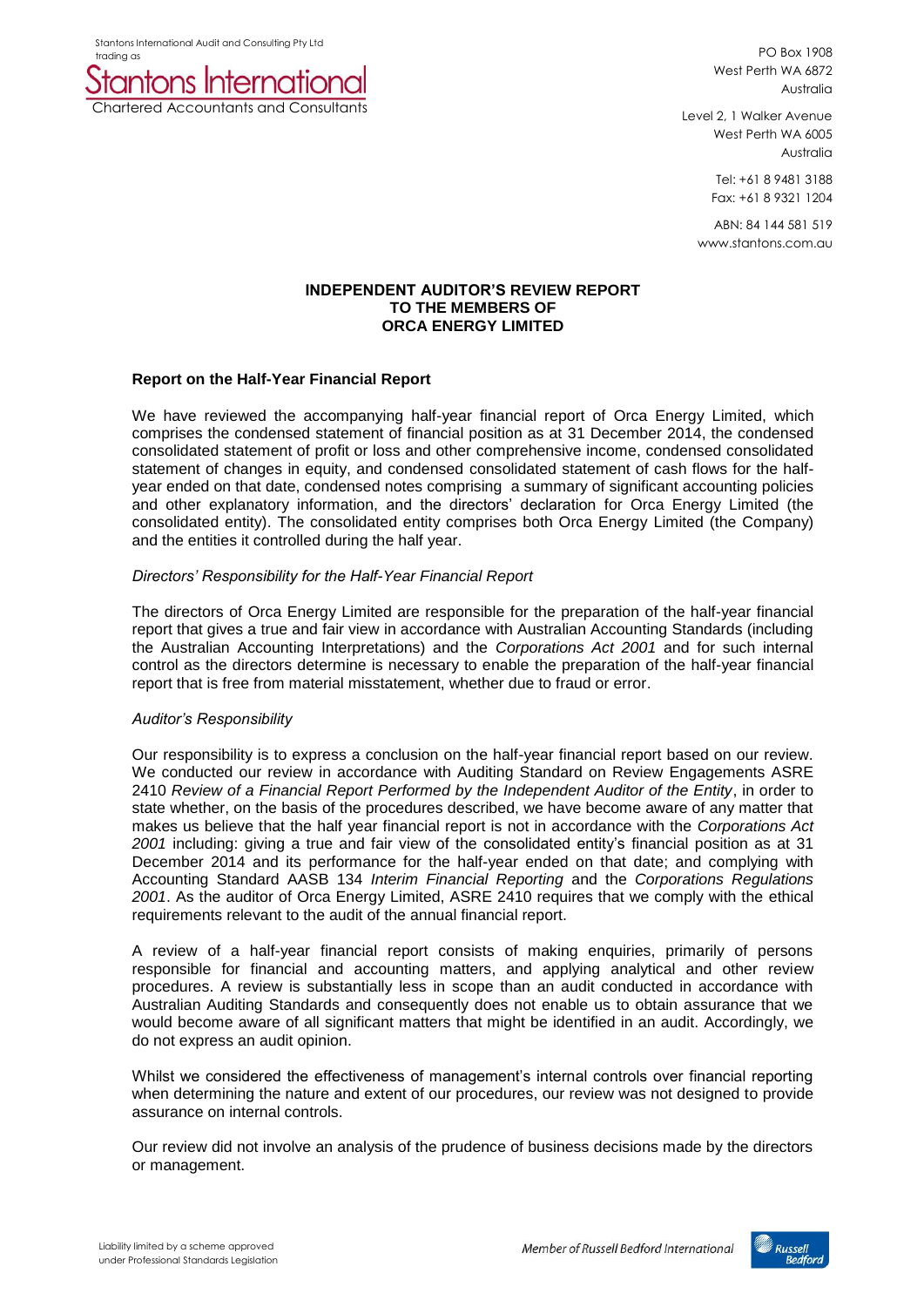Stantons International Audit and Consulting Pty Ltd



PO Box 1908 West Perth WA 6872 Australia

Level 2, 1 Walker Avenue West Perth WA 6005 Australia

> Tel: +61 8 9481 3188 Fax: +61 8 9321 1204

ABN: 84 144 581 519 www.stantons.com.au

### **INDEPENDENT AUDITOR'S REVIEW REPORT TO THE MEMBERS OF ORCA ENERGY LIMITED**

### **Report on the Half-Year Financial Report**

We have reviewed the accompanying half-year financial report of Orca Energy Limited, which comprises the condensed statement of financial position as at 31 December 2014, the condensed consolidated statement of profit or loss and other comprehensive income, condensed consolidated statement of changes in equity, and condensed consolidated statement of cash flows for the halfyear ended on that date, condensed notes comprising a summary of significant accounting policies and other explanatory information, and the directors' declaration for Orca Energy Limited (the consolidated entity). The consolidated entity comprises both Orca Energy Limited (the Company) and the entities it controlled during the half year.

### *Directors' Responsibility for the Half-Year Financial Report*

The directors of Orca Energy Limited are responsible for the preparation of the half-year financial report that gives a true and fair view in accordance with Australian Accounting Standards (including the Australian Accounting Interpretations) and the *Corporations Act 2001* and for such internal control as the directors determine is necessary to enable the preparation of the half-year financial report that is free from material misstatement, whether due to fraud or error.

### *Auditor's Responsibility*

Our responsibility is to express a conclusion on the half-year financial report based on our review. We conducted our review in accordance with Auditing Standard on Review Engagements ASRE 2410 *Review of a Financial Report Performed by the Independent Auditor of the Entity*, in order to state whether, on the basis of the procedures described, we have become aware of any matter that makes us believe that the half year financial report is not in accordance with the *Corporations Act 2001* including: giving a true and fair view of the consolidated entity's financial position as at 31 December 2014 and its performance for the half-year ended on that date; and complying with Accounting Standard AASB 134 *Interim Financial Reporting* and the *Corporations Regulations 2001*. As the auditor of Orca Energy Limited, ASRE 2410 requires that we comply with the ethical requirements relevant to the audit of the annual financial report.

A review of a half-year financial report consists of making enquiries, primarily of persons responsible for financial and accounting matters, and applying analytical and other review procedures. A review is substantially less in scope than an audit conducted in accordance with Australian Auditing Standards and consequently does not enable us to obtain assurance that we would become aware of all significant matters that might be identified in an audit. Accordingly, we do not express an audit opinion.

Whilst we considered the effectiveness of management's internal controls over financial reporting when determining the nature and extent of our procedures, our review was not designed to provide assurance on internal controls.

Our review did not involve an analysis of the prudence of business decisions made by the directors or management.